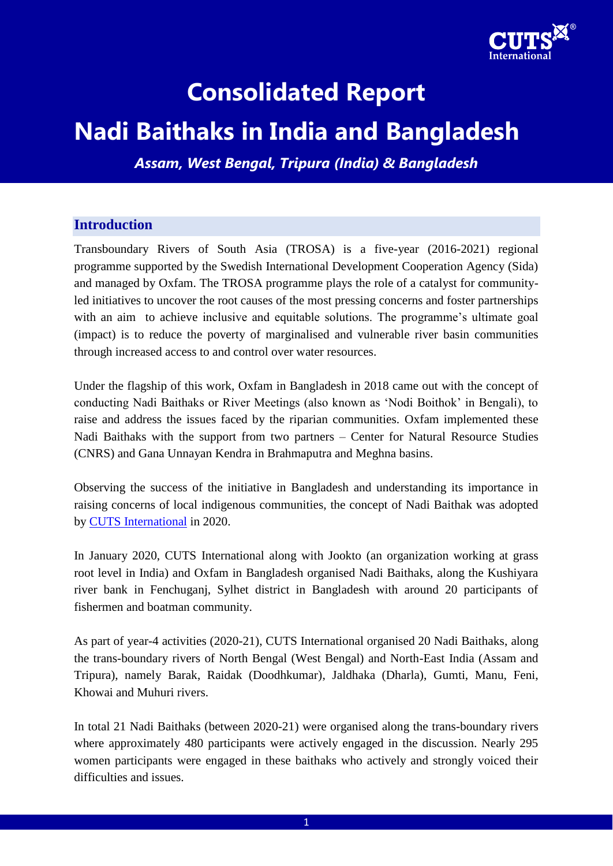

# **Consolidated Report**

# **Nadi Baithaks in India and Bangladesh**

*Assam, West Bengal, Tripura (India) & Bangladesh*

## **Introduction**

Transboundary Rivers of South Asia (TROSA) is a five-year (2016-2021) regional programme supported by the Swedish International Development Cooperation Agency (Sida) and managed by Oxfam. The TROSA programme plays the role of a catalyst for communityled initiatives to uncover the root causes of the most pressing concerns and foster partnerships with an aim to achieve inclusive and equitable solutions. The programme's ultimate goal (impact) is to reduce the poverty of marginalised and vulnerable river basin communities through increased access to and control over water resources.

Under the flagship of this work, Oxfam in Bangladesh in 2018 came out with the concept of conducting Nadi Baithaks or River Meetings (also known as 'Nodi Boithok' in Bengali), to raise and address the issues faced by the riparian communities. Oxfam implemented these Nadi Baithaks with the support from two partners – Center for Natural Resource Studies (CNRS) and Gana Unnayan Kendra in Brahmaputra and Meghna basins.

Observing the success of the initiative in Bangladesh and understanding its importance in raising concerns of local indigenous communities, the concept of Nadi Baithak was adopted by [CUTS International](https://cuts-international.org/) in 2020.

In January 2020, CUTS International along with Jookto (an organization working at grass root level in India) and Oxfam in Bangladesh organised Nadi Baithaks, along the Kushiyara river bank in Fenchuganj, Sylhet district in Bangladesh with around 20 participants of fishermen and boatman community.

As part of year-4 activities (2020-21), CUTS International organised 20 Nadi Baithaks, along the trans-boundary rivers of North Bengal (West Bengal) and North-East India (Assam and Tripura), namely Barak, Raidak (Doodhkumar), Jaldhaka (Dharla), Gumti, Manu, Feni, Khowai and Muhuri rivers.

In total 21 Nadi Baithaks (between 2020-21) were organised along the trans-boundary rivers where approximately 480 participants were actively engaged in the discussion. Nearly 295 women participants were engaged in these baithaks who actively and strongly voiced their difficulties and issues.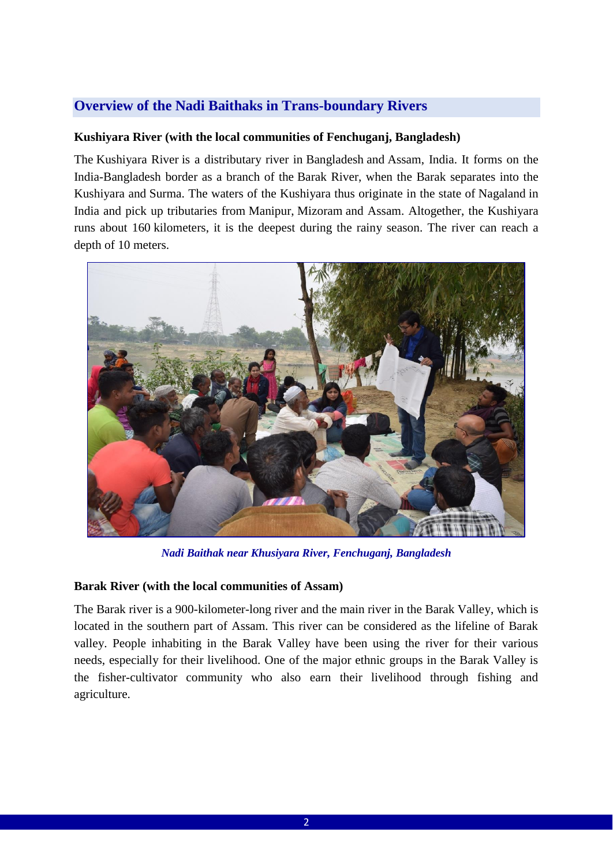# **Overview of the Nadi Baithaks in Trans-boundary Rivers**

#### **Kushiyara River (with the local communities of Fenchuganj, Bangladesh)**

The Kushiyara River is a distributary river in [Bangladesh](https://en.wikipedia.org/wiki/Bangladesh) and [Assam,](https://en.wikipedia.org/wiki/Assam) India. It forms on the India-Bangladesh border as a branch of the [Barak River,](https://en.wikipedia.org/wiki/Barak_River) when the Barak separates into the Kushiyara and [Surma.](https://en.wikipedia.org/wiki/Surma_River) The waters of the Kushiyara thus originate in the state of [Nagaland](https://en.wikipedia.org/wiki/Nagaland) in India and pick up tributaries from [Manipur,](https://en.wikipedia.org/wiki/Manipur) [Mizoram](https://en.wikipedia.org/wiki/Mizoram) and Assam. Altogether, the Kushiyara runs about 160 kilometers, it is the deepest during the rainy season. The river can reach a depth of 10 meters.



*Nadi Baithak near Khusiyara River, Fenchuganj, Bangladesh*

#### **Barak River (with the local communities of Assam)**

The Barak river is a 900-kilometer-long river and the main river in the Barak Valley, which is located in the southern part of Assam. This river can be considered as the lifeline of Barak valley. People inhabiting in the Barak Valley have been using the river for their various needs, especially for their livelihood. One of the major ethnic groups in the Barak Valley is the fisher-cultivator community who also earn their livelihood through fishing and agriculture.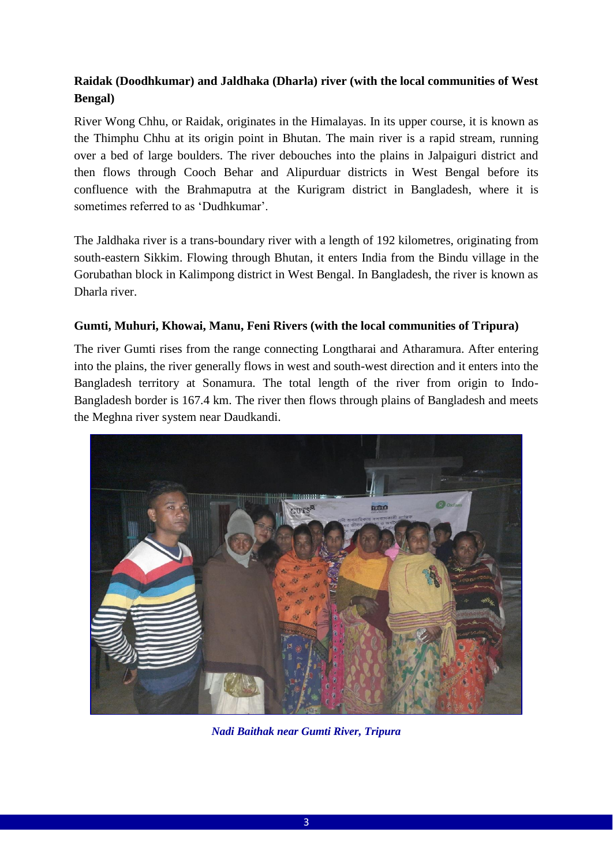# **Raidak (Doodhkumar) and Jaldhaka (Dharla) river (with the local communities of West Bengal)**

River Wong Chhu, or Raidak, originates in the Himalayas. In its upper course, it is known as the Thimphu Chhu at its origin point in Bhutan. The main river is a rapid stream, running over a bed of large boulders. The river debouches into the plains in Jalpaiguri district and then flows through Cooch Behar and Alipurduar districts in West Bengal before its confluence with the Brahmaputra at the Kurigram district in Bangladesh, where it is sometimes referred to as 'Dudhkumar'.

The Jaldhaka river is a trans-boundary river with a length of 192 kilometres, originating from south-eastern Sikkim. Flowing through Bhutan, it enters India from the Bindu village in the Gorubathan block in Kalimpong district in West Bengal. In Bangladesh, the river is known as Dharla river.

### **Gumti, Muhuri, Khowai, Manu, Feni Rivers (with the local communities of Tripura)**

The river Gumti rises from the range connecting Longtharai and Atharamura. After entering into the plains, the river generally flows in west and south-west direction and it enters into the Bangladesh territory at Sonamura. The total length of the river from origin to Indo-Bangladesh border is 167.4 km. The river then flows through plains of Bangladesh and meets the Meghna river system near Daudkandi.



*Nadi Baithak near Gumti River, Tripura*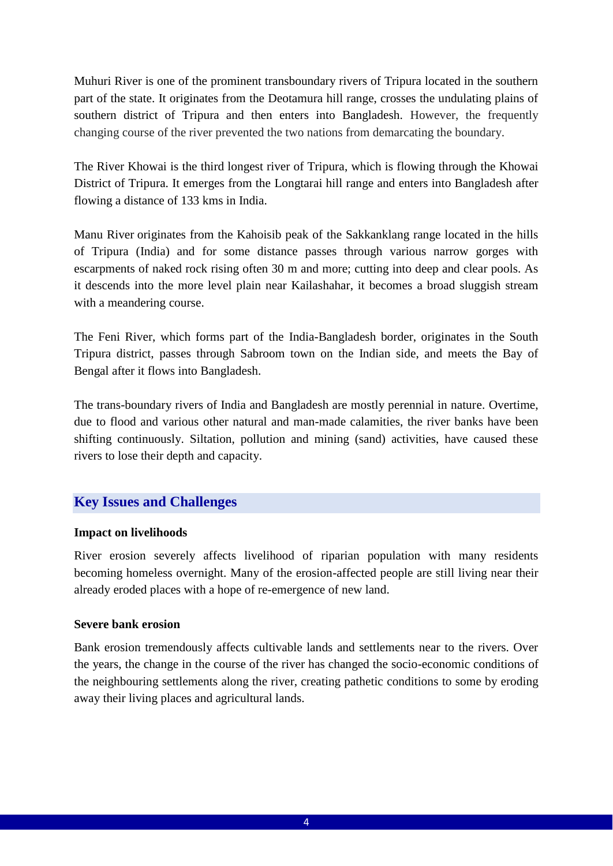Muhuri River is one of the prominent transboundary rivers of Tripura located in the southern part of the state. It originates from the Deotamura hill range, crosses the undulating plains of southern district of Tripura and then enters into Bangladesh. However, the frequently changing course of the river prevented the two nations from demarcating the boundary.

The River Khowai is the third longest river of Tripura, which is flowing through the Khowai District of Tripura. It emerges from the Longtarai hill range and enters into Bangladesh after flowing a distance of 133 kms in India.

Manu River originates from the Kahoisib peak of the Sakkanklang range located in the hills of Tripura (India) and for some distance passes through various narrow gorges with escarpments of naked rock rising often 30 m and more; cutting into deep and clear pools. As it descends into the more level plain near Kailashahar, it becomes a broad sluggish stream with a meandering course.

The Feni River, which forms part of the India-Bangladesh border, originates in the South Tripura district, passes through Sabroom town on the Indian side, and meets the Bay of Bengal after it flows into Bangladesh.

The trans-boundary rivers of India and Bangladesh are mostly perennial in nature. Overtime, due to flood and various other natural and man-made calamities, the river banks have been shifting continuously. Siltation, pollution and mining (sand) activities, have caused these rivers to lose their depth and capacity.

## **Key Issues and Challenges**

#### **Impact on livelihoods**

River erosion severely affects livelihood of riparian population with many residents becoming homeless overnight. Many of the erosion-affected people are still living near their already eroded places with a hope of re-emergence of new land.

#### **Severe bank erosion**

Bank erosion tremendously affects cultivable lands and settlements near to the rivers. Over the years, the change in the course of the river has changed the socio-economic conditions of the neighbouring settlements along the river, creating pathetic conditions to some by eroding away their living places and agricultural lands.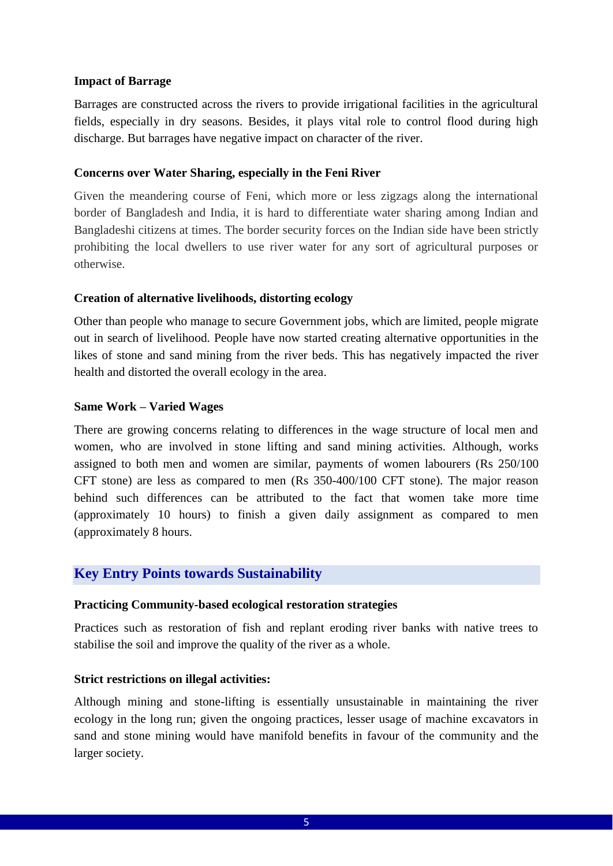#### **Impact of Barrage**

Barrages are constructed across the rivers to provide irrigational facilities in the agricultural fields, especially in dry seasons. Besides, it plays vital role to control flood during high discharge. But barrages have negative impact on character of the river.

#### **Concerns over Water Sharing, especially in the Feni River**

Given the meandering course of Feni, which more or less zigzags along the international border of Bangladesh and India, it is hard to differentiate water sharing among Indian and Bangladeshi citizens at times. The border security forces on the Indian side have been strictly prohibiting the local dwellers to use river water for any sort of agricultural purposes or otherwise.

#### **Creation of alternative livelihoods, distorting ecology**

Other than people who manage to secure Government jobs, which are limited, people migrate out in search of livelihood. People have now started creating alternative opportunities in the likes of stone and sand mining from the river beds. This has negatively impacted the river health and distorted the overall ecology in the area.

#### **Same Work – Varied Wages**

There are growing concerns relating to differences in the wage structure of local men and women, who are involved in stone lifting and sand mining activities. Although, works assigned to both men and women are similar, payments of women labourers (Rs 250/100 CFT stone) are less as compared to men (Rs 350-400/100 CFT stone). The major reason behind such differences can be attributed to the fact that women take more time (approximately 10 hours) to finish a given daily assignment as compared to men (approximately 8 hours.

## **Key Entry Points towards Sustainability**

#### **Practicing Community-based ecological restoration strategies**

Practices such as restoration of fish and replant eroding river banks with native trees to stabilise the soil and improve the quality of the river as a whole.

### **Strict restrictions on illegal activities:**

Although mining and stone-lifting is essentially unsustainable in maintaining the river ecology in the long run; given the ongoing practices, lesser usage of machine excavators in sand and stone mining would have manifold benefits in favour of the community and the larger society.